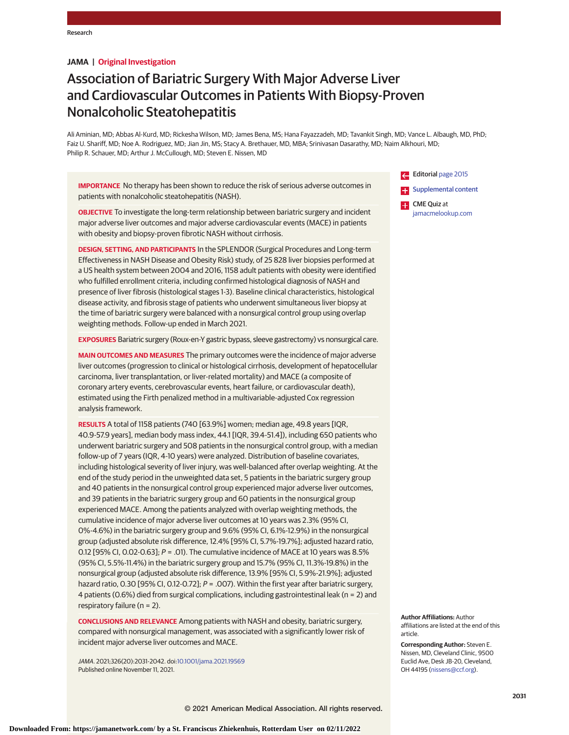# **JAMA | Original Investigation**

# Association of Bariatric Surgery With Major Adverse Liver and Cardiovascular Outcomes in Patients With Biopsy-Proven Nonalcoholic Steatohepatitis

Ali Aminian, MD; Abbas Al-Kurd, MD; Rickesha Wilson, MD; James Bena, MS; Hana Fayazzadeh, MD; Tavankit Singh, MD; Vance L. Albaugh, MD, PhD; Faiz U. Shariff, MD; Noe A. Rodriguez, MD; Jian Jin, MS; Stacy A. Brethauer, MD, MBA; Srinivasan Dasarathy, MD; Naim Alkhouri, MD; Philip R. Schauer, MD; Arthur J. McCullough, MD; Steven E. Nissen, MD

**IMPORTANCE** No therapy has been shown to reduce the risk of serious adverse outcomes in patients with nonalcoholic steatohepatitis (NASH).

**OBJECTIVE** To investigate the long-term relationship between bariatric surgery and incident major adverse liver outcomes and major adverse cardiovascular events (MACE) in patients with obesity and biopsy-proven fibrotic NASH without cirrhosis.

**DESIGN, SETTING, AND PARTICIPANTS** In the SPLENDOR (Surgical Procedures and Long-term Effectiveness in NASH Disease and Obesity Risk) study, of 25 828 liver biopsies performed at a US health system between 2004 and 2016, 1158 adult patients with obesity were identified who fulfilled enrollment criteria, including confirmed histological diagnosis of NASH and presence of liver fibrosis (histological stages 1-3). Baseline clinical characteristics, histological disease activity, and fibrosis stage of patients who underwent simultaneous liver biopsy at the time of bariatric surgery were balanced with a nonsurgical control group using overlap weighting methods. Follow-up ended in March 2021.

**EXPOSURES** Bariatric surgery (Roux-en-Y gastric bypass, sleeve gastrectomy) vs nonsurgical care.

**MAIN OUTCOMES AND MEASURES** The primary outcomes were the incidence of major adverse liver outcomes (progression to clinical or histological cirrhosis, development of hepatocellular carcinoma, liver transplantation, or liver-related mortality) and MACE (a composite of coronary artery events, cerebrovascular events, heart failure, or cardiovascular death), estimated using the Firth penalized method in a multivariable-adjusted Cox regression analysis framework.

**RESULTS** A total of 1158 patients (740 [63.9%] women; median age, 49.8 years [IQR, 40.9-57.9 years], median body mass index, 44.1 [IQR, 39.4-51.4]), including 650 patients who underwent bariatric surgery and 508 patients in the nonsurgical control group, with a median follow-up of 7 years (IQR, 4-10 years) were analyzed. Distribution of baseline covariates, including histological severity of liver injury, was well-balanced after overlap weighting. At the end of the study period in the unweighted data set, 5 patients in the bariatric surgery group and 40 patients in the nonsurgical control group experienced major adverse liver outcomes, and 39 patients in the bariatric surgery group and 60 patients in the nonsurgical group experienced MACE. Among the patients analyzed with overlap weighting methods, the cumulative incidence of major adverse liver outcomes at 10 years was 2.3% (95% CI, 0%-4.6%) in the bariatric surgery group and 9.6% (95% CI, 6.1%-12.9%) in the nonsurgical group (adjusted absolute risk difference, 12.4% [95% CI, 5.7%-19.7%]; adjusted hazard ratio, 0.12 [95% CI, 0.02-0.63];  $P = .01$ ). The cumulative incidence of MACE at 10 years was 8.5% (95% CI, 5.5%-11.4%) in the bariatric surgery group and 15.7% (95% CI, 11.3%-19.8%) in the nonsurgical group (adjusted absolute risk difference, 13.9% [95% CI, 5.9%-21.9%]; adjusted hazard ratio, 0.30 [95% CI, 0.12-0.72]; P = .007). Within the first year after bariatric surgery, 4 patients (0.6%) died from surgical complications, including gastrointestinal leak (n = 2) and respiratory failure (n = 2).

**CONCLUSIONS AND RELEVANCE** Among patients with NASH and obesity, bariatric surgery, compared with nonsurgical management, was associated with a significantly lower risk of incident major adverse liver outcomes and MACE.

JAMA. 2021;326(20):2031-2042. doi[:10.1001/jama.2021.19569](https://jamanetwork.com/journals/jama/fullarticle/10.1001/jama.2021.19569?utm_campaign=articlePDF%26utm_medium=articlePDFlink%26utm_source=articlePDF%26utm_content=jama.2021.19569) Published online November 11, 2021.

Editorial [page 2015](https://jamanetwork.com/journals/jama/fullarticle/10.1001/jama.2021.17451?utm_campaign=articlePDF%26utm_medium=articlePDFlink%26utm_source=articlePDF%26utm_content=jama.2021.19569) **[Supplemental content](https://jamanetwork.com/journals/jama/fullarticle/10.1001/jama.2021.19569?utm_campaign=articlePDF%26utm_medium=articlePDFlink%26utm_source=articlePDF%26utm_content=jama.2021.19569)** CME Quiz at [jamacmelookup.com](https://jama.jamanetwork.com/learning/article-quiz/10.1001/jama.2021.19569?utm_campaign=articlePDF%26utm_medium=articlePDFlink%26utm_source=articlePDF%26utm_content=jama.2021.19569)

**Author Affiliations:** Author affiliations are listed at the end of this article.

**Corresponding Author:** Steven E. Nissen, MD, Cleveland Clinic, 9500 Euclid Ave, Desk JB-20, Cleveland, OH 44195 [\(nissens@ccf.org\)](mailto:nissens@ccf.org).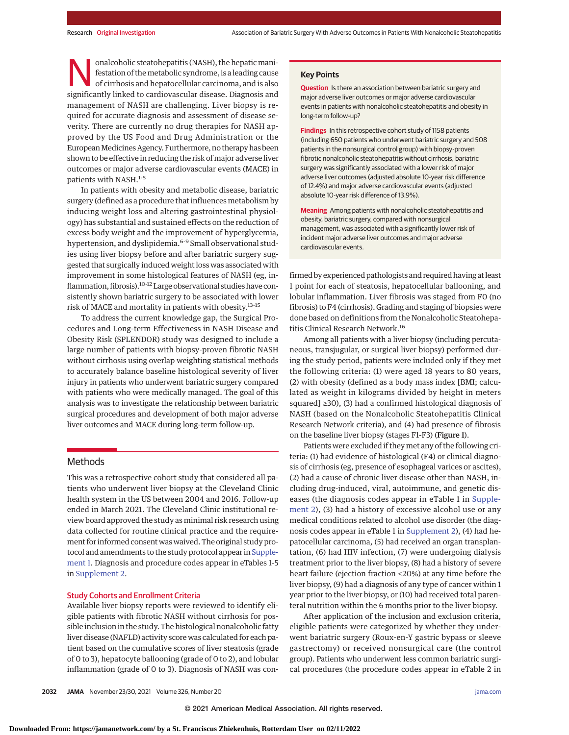onalcoholic steatohepatitis (NASH), the hepatic mani-<br>festation of the metabolic syndrome, is a leading cause<br>of cirrhosis and hepatocellular carcinoma, and is also<br>significantly linked to cardiovascular disoase. Diamosis festation of themetabolic syndrome, is a leading cause significantly linked to cardiovascular disease. Diagnosis and management of NASH are challenging. Liver biopsy is required for accurate diagnosis and assessment of disease severity. There are currently no drug therapies for NASH approved by the US Food and Drug Administration or the European Medicines Agency. Furthermore, no therapy has been shown to be effective in reducing the risk of major adverse liver outcomes or major adverse cardiovascular events (MACE) in patients with NASH.<sup>1-5</sup>

In patients with obesity and metabolic disease, bariatric surgery (defined as a procedure that influences metabolism by inducing weight loss and altering gastrointestinal physiology) has substantial and sustained effects on the reduction of excess body weight and the improvement of hyperglycemia, hypertension, and dyslipidemia.<sup>6-9</sup> Small observational studies using liver biopsy before and after bariatric surgery suggested that surgically induced weight loss was associated with improvement in some histological features of NASH (eg, inflammation, fibrosis).<sup>10-12</sup> Large observational studies have consistently shown bariatric surgery to be associated with lower risk of MACE and mortality in patients with obesity.13-15

To address the current knowledge gap, the Surgical Procedures and Long-term Effectiveness in NASH Disease and Obesity Risk (SPLENDOR) study was designed to include a large number of patients with biopsy-proven fibrotic NASH without cirrhosis using overlap weighting statistical methods to accurately balance baseline histological severity of liver injury in patients who underwent bariatric surgery compared with patients who were medically managed. The goal of this analysis was to investigate the relationship between bariatric surgical procedures and development of both major adverse liver outcomes and MACE during long-term follow-up.

# **Methods**

This was a retrospective cohort study that considered all patients who underwent liver biopsy at the Cleveland Clinic health system in the US between 2004 and 2016. Follow-up ended in March 2021. The Cleveland Clinic institutional review board approved the study as minimal risk research using data collected for routine clinical practice and the requirement for informed consent was waived. The original study pro-tocol and amendments to the study protocol appear in [Supple](https://jamanetwork.com/journals/jama/fullarticle/10.1001/jama.2021.19569?utm_campaign=articlePDF%26utm_medium=articlePDFlink%26utm_source=articlePDF%26utm_content=jama.2021.19569)[ment 1.](https://jamanetwork.com/journals/jama/fullarticle/10.1001/jama.2021.19569?utm_campaign=articlePDF%26utm_medium=articlePDFlink%26utm_source=articlePDF%26utm_content=jama.2021.19569) Diagnosis and procedure codes appear in eTables 1-5 in [Supplement 2.](https://jamanetwork.com/journals/jama/fullarticle/10.1001/jama.2021.19569?utm_campaign=articlePDF%26utm_medium=articlePDFlink%26utm_source=articlePDF%26utm_content=jama.2021.19569)

# Study Cohorts and Enrollment Criteria

Available liver biopsy reports were reviewed to identify eligible patients with fibrotic NASH without cirrhosis for possible inclusion in the study. The histological nonalcoholic fatty liver disease (NAFLD) activity score was calculated for each patient based on the cumulative scores of liver steatosis (grade of 0 to 3), hepatocyte ballooning (grade of 0 to 2), and lobular inflammation (grade of 0 to 3). Diagnosis of NASH was con-

# **Key Points**

**Question** Is there an association between bariatric surgery and major adverse liver outcomes or major adverse cardiovascular events in patients with nonalcoholic steatohepatitis and obesity in long-term follow-up?

**Findings** In this retrospective cohort study of 1158 patients (including 650 patients who underwent bariatric surgery and 508 patients in the nonsurgical control group) with biopsy-proven fibrotic nonalcoholic steatohepatitis without cirrhosis, bariatric surgery was significantly associated with a lower risk of major adverse liver outcomes (adjusted absolute 10-year risk difference of 12.4%) and major adverse cardiovascular events (adjusted absolute 10-year risk difference of 13.9%).

**Meaning** Among patients with nonalcoholic steatohepatitis and obesity, bariatric surgery, compared with nonsurgical management, was associated with a significantly lower risk of incident major adverse liver outcomes and major adverse cardiovascular events.

firmed by experienced pathologists and required having at least 1 point for each of steatosis, hepatocellular ballooning, and lobular inflammation. Liver fibrosis was staged from F0 (no fibrosis) to F4 (cirrhosis). Grading and staging of biopsies were done based on definitions from the Nonalcoholic Steatohepatitis Clinical Research Network.16

Among all patients with a liver biopsy (including percutaneous, transjugular, or surgical liver biopsy) performed during the study period, patients were included only if they met the following criteria: (1) were aged 18 years to 80 years, (2) with obesity (defined as a body mass index [BMI; calculated as weight in kilograms divided by height in meters squared] ≥30), (3) had a confirmed histological diagnosis of NASH (based on the Nonalcoholic Steatohepatitis Clinical Research Network criteria), and (4) had presence of fibrosis on the baseline liver biopsy (stages F1-F3) (Figure 1).

Patients were excluded if theymet any of the following criteria: (1) had evidence of histological (F4) or clinical diagnosis of cirrhosis (eg, presence of esophageal varices or ascites), (2) had a cause of chronic liver disease other than NASH, including drug-induced, viral, autoimmune, and genetic diseases (the diagnosis codes appear in eTable 1 in [Supple](https://jamanetwork.com/journals/jama/fullarticle/10.1001/jama.2021.19569?utm_campaign=articlePDF%26utm_medium=articlePDFlink%26utm_source=articlePDF%26utm_content=jama.2021.19569)[ment 2\)](https://jamanetwork.com/journals/jama/fullarticle/10.1001/jama.2021.19569?utm_campaign=articlePDF%26utm_medium=articlePDFlink%26utm_source=articlePDF%26utm_content=jama.2021.19569), (3) had a history of excessive alcohol use or any medical conditions related to alcohol use disorder (the diagnosis codes appear in eTable 1 in [Supplement 2\)](https://jamanetwork.com/journals/jama/fullarticle/10.1001/jama.2021.19569?utm_campaign=articlePDF%26utm_medium=articlePDFlink%26utm_source=articlePDF%26utm_content=jama.2021.19569), (4) had hepatocellular carcinoma, (5) had received an organ transplantation, (6) had HIV infection, (7) were undergoing dialysis treatment prior to the liver biopsy, (8) had a history of severe heart failure (ejection fraction <20%) at any time before the liver biopsy, (9) had a diagnosis of any type of cancer within 1 year prior to the liver biopsy, or (10) had received total parenteral nutrition within the 6 months prior to the liver biopsy.

After application of the inclusion and exclusion criteria, eligible patients were categorized by whether they underwent bariatric surgery (Roux-en-Y gastric bypass or sleeve gastrectomy) or received nonsurgical care (the control group). Patients who underwent less common bariatric surgical procedures (the procedure codes appear in eTable 2 in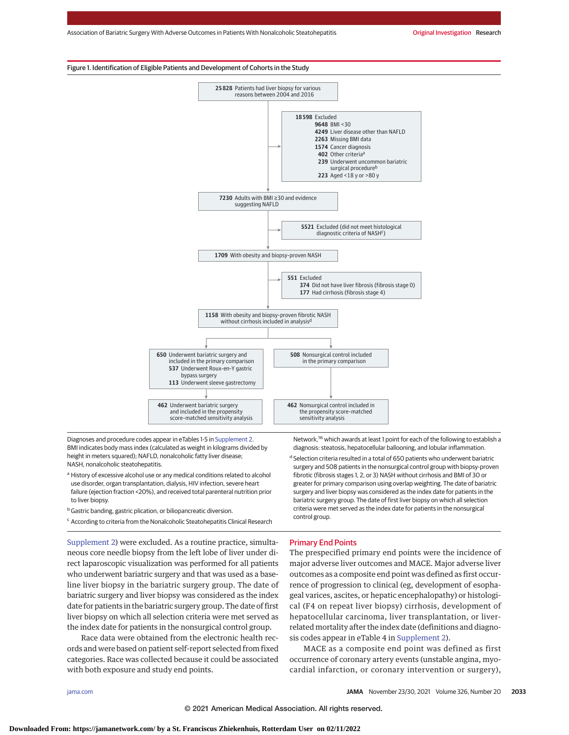# Figure 1. Identification of Eligible Patients and Development of Cohorts in the Study



Diagnoses and procedure codes appear in eTables 1-5 in [Supplement 2.](https://jamanetwork.com/journals/jama/fullarticle/10.1001/jama.2021.19569?utm_campaign=articlePDF%26utm_medium=articlePDFlink%26utm_source=articlePDF%26utm_content=jama.2021.19569) BMI indicates body mass index (calculated as weight in kilograms divided by height in meters squared); NAFLD, nonalcoholic fatty liver disease; NASH, nonalcoholic steatohepatitis.

- <sup>a</sup> History of excessive alcohol use or any medical conditions related to alcohol use disorder, organ transplantation, dialysis, HIV infection, severe heart failure (ejection fraction <20%), and received total parenteral nutrition prior to liver biopsy.
- **b** Gastric banding, gastric plication, or biliopancreatic diversion.
- <sup>c</sup> According to criteria from the Nonalcoholic Steatohepatitis Clinical Research

[Supplement 2\)](https://jamanetwork.com/journals/jama/fullarticle/10.1001/jama.2021.19569?utm_campaign=articlePDF%26utm_medium=articlePDFlink%26utm_source=articlePDF%26utm_content=jama.2021.19569) were excluded. As a routine practice, simultaneous core needle biopsy from the left lobe of liver under direct laparoscopic visualization was performed for all patients who underwent bariatric surgery and that was used as a baseline liver biopsy in the bariatric surgery group. The date of bariatric surgery and liver biopsy was considered as the index date for patients in the bariatric surgery group. The date of first liver biopsy on which all selection criteria were met served as the index date for patients in the nonsurgical control group.

Race data were obtained from the electronic health records and were based on patient self-report selected from fixed categories. Race was collected because it could be associated with both exposure and study end points.

Network,<sup>16</sup> which awards at least 1 point for each of the following to establish a diagnosis: steatosis, hepatocellular ballooning, and lobular inflammation.

<sup>d</sup> Selection criteria resulted in a total of 650 patients who underwent bariatric surgery and 508 patients in the nonsurgical control group with biopsy-proven fibrotic (fibrosis stages 1, 2, or 3) NASH without cirrhosis and BMI of 30 or greater for primary comparison using overlap weighting. The date of bariatric surgery and liver biopsy was considered as the index date for patients in the bariatric surgery group. The date of first liver biopsy on which all selection criteria were met served as the index date for patients in the nonsurgical control group.

# Primary End Points

The prespecified primary end points were the incidence of major adverse liver outcomes and MACE. Major adverse liver outcomes as a composite end point was defined as first occurrence of progression to clinical (eg, development of esophageal varices, ascites, or hepatic encephalopathy) or histological (F4 on repeat liver biopsy) cirrhosis, development of hepatocellular carcinoma, liver transplantation, or liverrelated mortality after the index date (definitions and diagnosis codes appear in eTable 4 in [Supplement 2\)](https://jamanetwork.com/journals/jama/fullarticle/10.1001/jama.2021.19569?utm_campaign=articlePDF%26utm_medium=articlePDFlink%26utm_source=articlePDF%26utm_content=jama.2021.19569).

MACE as a composite end point was defined as first occurrence of coronary artery events (unstable angina, myocardial infarction, or coronary intervention or surgery),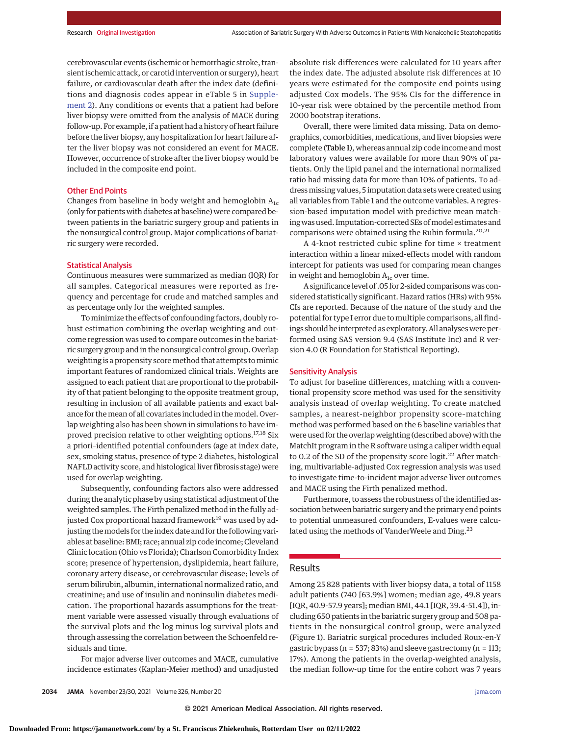cerebrovascular events (ischemic or hemorrhagic stroke, transient ischemic attack, or carotid intervention or surgery), heart failure, or cardiovascular death after the index date (definitions and diagnosis codes appear in eTable 5 in [Supple](https://jamanetwork.com/journals/jama/fullarticle/10.1001/jama.2021.19569?utm_campaign=articlePDF%26utm_medium=articlePDFlink%26utm_source=articlePDF%26utm_content=jama.2021.19569)[ment 2\)](https://jamanetwork.com/journals/jama/fullarticle/10.1001/jama.2021.19569?utm_campaign=articlePDF%26utm_medium=articlePDFlink%26utm_source=articlePDF%26utm_content=jama.2021.19569). Any conditions or events that a patient had before liver biopsy were omitted from the analysis of MACE during follow-up. For example, if a patient had a history of heart failure before the liver biopsy, any hospitalization for heart failure after the liver biopsy was not considered an event for MACE. However, occurrence of stroke after the liver biopsy would be included in the composite end point.

## Other End Points

Changes from baseline in body weight and hemoglobin  $A_{1c}$ (only for patients with diabetes at baseline) were compared between patients in the bariatric surgery group and patients in the nonsurgical control group. Major complications of bariatric surgery were recorded.

# Statistical Analysis

Continuous measures were summarized as median (IQR) for all samples. Categorical measures were reported as frequency and percentage for crude and matched samples and as percentage only for the weighted samples.

To minimize the effects of confounding factors, doubly robust estimation combining the overlap weighting and outcome regression was used to compare outcomes in the bariatric surgery group and in the nonsurgical control group. Overlap weighting is a propensity scoremethod that attempts tomimic important features of randomized clinical trials. Weights are assigned to each patient that are proportional to the probability of that patient belonging to the opposite treatment group, resulting in inclusion of all available patients and exact balance for the mean of all covariates included in the model. Overlap weighting also has been shown in simulations to have improved precision relative to other weighting options.<sup>17,18</sup> Six a priori–identified potential confounders (age at index date, sex, smoking status, presence of type 2 diabetes, histological NAFLD activity score, and histological liver fibrosis stage) were used for overlap weighting.

Subsequently, confounding factors also were addressed during the analytic phase by using statistical adjustment of the weighted samples. The Firth penalized method in the fully adjusted Cox proportional hazard framework<sup>19</sup> was used by adjusting the models for the index date and for the following variables at baseline: BMI; race; annual zip code income; Cleveland Clinic location (Ohio vs Florida); Charlson Comorbidity Index score; presence of hypertension, dyslipidemia, heart failure, coronary artery disease, or cerebrovascular disease; levels of serum bilirubin, albumin, international normalized ratio, and creatinine; and use of insulin and noninsulin diabetes medication. The proportional hazards assumptions for the treatment variable were assessed visually through evaluations of the survival plots and the log minus log survival plots and through assessing the correlation between the Schoenfeld residuals and time.

For major adverse liver outcomes and MACE, cumulative incidence estimates (Kaplan-Meier method) and unadjusted absolute risk differences were calculated for 10 years after the index date. The adjusted absolute risk differences at 10 years were estimated for the composite end points using adjusted Cox models. The 95% CIs for the difference in 10-year risk were obtained by the percentile method from 2000 bootstrap iterations.

Overall, there were limited data missing. Data on demographics, comorbidities, medications, and liver biopsies were complete (Table 1), whereas annual zip code income and most laboratory values were available for more than 90% of patients. Only the lipid panel and the international normalized ratio had missing data for more than 10% of patients. To addressmissing values, 5 imputation data sets were created using all variables from Table 1 and the outcome variables. A regression-based imputation model with predictive mean matching was used. Imputation-corrected SEs of model estimates and comparisons were obtained using the Rubin formula.<sup>20,21</sup>

A 4-knot restricted cubic spline for time × treatment interaction within a linear mixed-effects model with random intercept for patients was used for comparing mean changes in weight and hemoglobin  $A_{1c}$  over time.

A significance level of .05 for 2-sided comparisons was considered statistically significant. Hazard ratios (HRs) with 95% CIs are reported. Because of the nature of the study and the potential for type I error due to multiple comparisons, all findings should be interpreted as exploratory. All analyses were performed using SAS version 9.4 (SAS Institute Inc) and R version 4.0 (R Foundation for Statistical Reporting).

# Sensitivity Analysis

To adjust for baseline differences, matching with a conventional propensity score method was used for the sensitivity analysis instead of overlap weighting. To create matched samples, a nearest-neighbor propensity score–matching method was performed based on the 6 baseline variables that were used for the overlap weighting (described above) with the MatchIt program in the R software using a caliper width equal to 0.2 of the SD of the propensity score logit.<sup>22</sup> After matching, multivariable-adjusted Cox regression analysis was used to investigate time-to-incident major adverse liver outcomes and MACE using the Firth penalized method.

Furthermore, to assess the robustness of the identified association between bariatric surgery and the primary end points to potential unmeasured confounders, E-values were calculated using the methods of VanderWeele and Ding.<sup>23</sup>

# Results

Among 25 828 patients with liver biopsy data, a total of 1158 adult patients (740 [63.9%] women; median age, 49.8 years [IQR, 40.9-57.9 years]; median BMI, 44.1 [IQR, 39.4-51.4]), including 650 patients in the bariatric surgery group and 508 patients in the nonsurgical control group, were analyzed (Figure 1). Bariatric surgical procedures included Roux-en-Y gastric bypass (n = 537; 83%) and sleeve gastrectomy (n = 113; 17%). Among the patients in the overlap-weighted analysis, the median follow-up time for the entire cohort was 7 years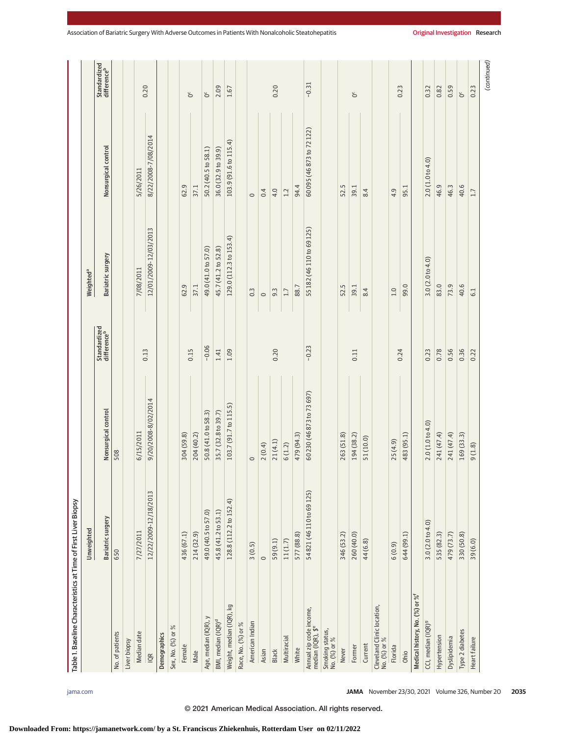|                                              | Unweighted               |                           |                                         | Weighted <sup>a</sup>     |                           |                                         |
|----------------------------------------------|--------------------------|---------------------------|-----------------------------------------|---------------------------|---------------------------|-----------------------------------------|
|                                              | Bariatric surgery        | Nonsurgical control       | Standardized<br>difference <sup>b</sup> | Bariatric surgery         | Nonsurgical control       | Standardized<br>difference <sup>b</sup> |
| No. of patients                              | 650                      | 508                       |                                         |                           |                           |                                         |
| Liver biopsy                                 |                          |                           |                                         |                           |                           |                                         |
| Median date                                  | 7/27/2011                | 6/15/2011                 |                                         | 7/08/2011                 | 5/26/2011                 |                                         |
| $\overline{QR}$                              | 12/22/2009-12/18/2013    | 9/20/2008-8/02/2014       | 0.13                                    | 12/01/2009-12/03/2013     | 8/22/2008-7/08/2014       | 0.20                                    |
| Demographics                                 |                          |                           |                                         |                           |                           |                                         |
| $\%$<br>Sex, No. (%) or                      |                          |                           |                                         |                           |                           |                                         |
| Female                                       | 436 (67.1)               | 304 (59.8)                |                                         | 62.9                      | 62.9                      |                                         |
| Male                                         | 214 (32.9)               | 204 (40.2)                | 0.15                                    | 37.1                      | 37.1                      | ŏ                                       |
| Age, median (IQR), y                         | 49.0 (40.5 to 57.0)      | 50.8 (41.0 to 58.3)       | $-0.06$                                 | 49.0 (41.0 to 57.0)       | 50.2 (40.5 to 58.1)       | ŏ                                       |
| BMI, median (IQR) <sup>d</sup>               | 45.8 (41.2 to 53.1)      | 35.7 (32.8 to 39.7)       | 1.41                                    | 45.7 (41.2 to 52.8)       | 36.0 (32.9 to 39.9)       | 2.09                                    |
| Weight, median (IQR), kg                     | 128.8 (112.2 to 152.4)   | 103.7 (91.7 to 115.5)     | 1.09                                    | 129.0 (112.3 to 153.4)    | 103.9 (91.6 to 115.4)     | 1.67                                    |
| Race, No. (%) or %                           |                          |                           |                                         |                           |                           |                                         |
| American Indian                              | 3(0.5)                   | $\circ$                   |                                         | $0.\overline{3}$          | $\circ$                   |                                         |
| Asian                                        | $\circ$                  | 2(0.4)                    |                                         | $\circ$                   | 0.4                       |                                         |
| <b>Black</b>                                 | 59(9.1)                  | 21(4.1)                   | 0.20                                    | 9.3                       | 4.0                       | 0.20                                    |
| Multiracial                                  | 11(1.7)                  | 6(1.2)                    |                                         | 1.7                       | 1.2                       |                                         |
| White                                        | 577 (88.8)               | 479 (94.3)                |                                         | 88.7                      | 94.4                      |                                         |
| Annual zip code income,<br>median (IQR), \$° | 54821 (46 110 to 69 125) | 60 230 (46 873 to 73 697) | $-0.23$                                 | 55 182 (46 110 to 69 125) | 60 095 (46 873 to 72 122) | $-0.31$                                 |
| Smoking status,<br>No. (%) or %              |                          |                           |                                         |                           |                           |                                         |
| Never                                        | 346 (53.2)               | 263 (51.8)                |                                         | 52.5                      | 52.5                      |                                         |
| Former                                       | 260 (40.0)               | 194 (38.2)                | 0.11                                    | 39.1                      | 39.1                      | ŏ                                       |
| Current                                      | 44 (6.8)                 | 51 (10.0)                 |                                         | 8.4                       | 8.4                       |                                         |
| Cleveland Clinic location,<br>No. (%) or %   |                          |                           |                                         |                           |                           |                                         |
| Florida                                      | 6(0.9)                   | 25(4.9)                   |                                         | 1.0                       | 4.9                       |                                         |
| Ohio                                         | 644 (99.1)               | 483 (95.1)                | 0.24                                    | 99.0                      | 95.1                      | 0.23                                    |
| Medical history, No. (%) or % <sup>1</sup>   |                          |                           |                                         |                           |                           |                                         |
| CCI, median (IQR) <sup>9</sup>               | 3.0(2.0 to 4.0)          | 2.0(1.0 to 4.0)           | 0.23                                    | 3.0(2.0 to 4.0)           | 2.0(1.0 to 4.0)           | 0.32                                    |
| Hypertension                                 | 535 (82.3)               | 241 (47.4)                | 0.78                                    | 83.0                      | 46.9                      | 0.82                                    |
| Dyslipidemia                                 | 479 (73.7)               | 241 (47.4)                | 0.56                                    | 73.9                      | 46.3                      | 0.59                                    |
| Type 2 diabetes                              | 330 (50.8)               | 169 (33.3)                | 0.36                                    | 40.6                      | 40.6                      | ŏ                                       |
| Heart failure                                | 39(6.0)                  | 9(1.8)                    | 0.22                                    | $\overline{61}$           | 1.7                       | 0.23                                    |
|                                              |                          |                           |                                         |                           |                           | (continued)                             |

© 2021 American Medical Association. All rights reserved.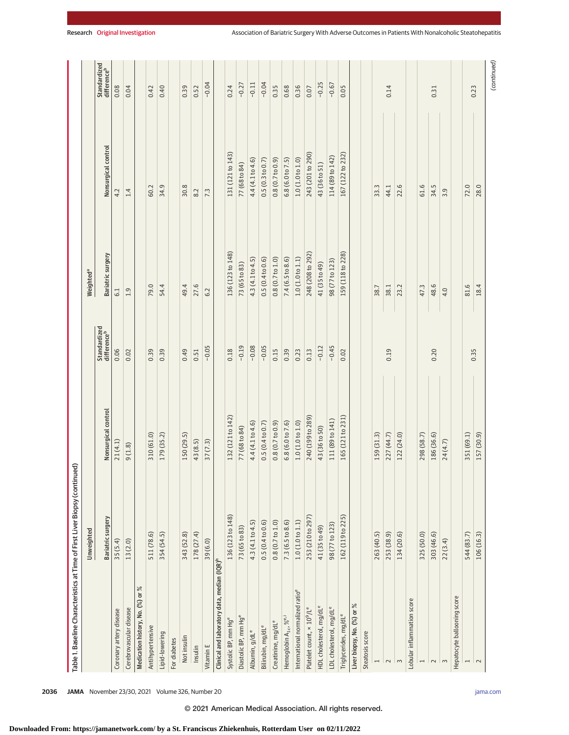| Standardized<br>difference <sup>b</sup><br>$-0.04$<br>$-0.04$<br>$-0.25$<br>$-0.11$<br>$-0.67$<br>$-0.27$<br>0.40<br>0.24<br>0.35<br>0.68<br>0.36<br>0.08<br>0.04<br>0.39<br>0.52<br>0.05<br>0.14<br>0.42<br>0.07<br>0.23<br>0.31<br>Nonsurgical control<br>131 (121 to 143)<br>243 (201 to 290)<br>167 (122 to 232)<br>114 (89 to 142)<br>0.5(0.3 to 0.7)<br>$0.8(0.7 t_0 0.9)$<br>6.8 (6.0 to 7.5)<br>1.0(1.0 to 1.0)<br>4.4 (4.1 to 4.6)<br>77 (68 to 84)<br>43 (36 to 51)<br>34.9<br>22.6<br>72.0<br>28.0<br>30.8<br>33.3<br>61.6<br>34.5<br>60.2<br>44.1<br>3.9<br>1.4<br>7.3<br>4.2<br>8.2<br>136 (123 to 148)<br>248 (208 to 292)<br>159 (118 to 228)<br>Bariatric surgery<br>7.4 (6.5 to 8.6)<br>1.0(1.0 to 1.1)<br>4.3 (4.1 to 4.5)<br>0.5(0.4 to 0.6)<br>0.8(0.7 t 0.1.0)<br>98 (77 to 123)<br>73 (65 to 83)<br>41 (35 to 49)<br>Weighted <sup>a</sup><br>54.4<br>81.6<br>79.0<br>49.4<br>27.6<br>48.6<br>18.4<br>38.7<br>38.1<br>23.2<br>47.3<br>4.0<br>1.9<br>6.2<br>6.1<br>Standardized<br>difference <sup>b</sup><br>$-0.19$<br>$-0.08$<br>$-0.05$<br>$-0.05$<br>$-0.45$<br>$-0.12$<br>0.06<br>0.18<br>0.15<br>0.39<br>0.39<br>0.49<br>0.39<br>0.23<br>0.13<br>0.19<br>0.20<br>0.02<br>0.02<br>0.35<br>0.51<br>Nonsurgical control<br>132 (121 to 142)<br>240 (199 to 289)<br>165 (121 to 231)<br>111 (89 to 141)<br>6.8(6.0 to 7.6)<br>1.0(1.0 to 1.0)<br>4.4 (4.1 to 4.6)<br>$0.8(0.7 t_0 0.9)$<br>0.5(0.4 to 0.7)<br>77 (68 to 84)<br>43 (36 to 50)<br>310 (61.0)<br>227 (44.7)<br>122 (24.0)<br>186 (36.6)<br>351 (69.1)<br>179 (35.2)<br>150 (29.5)<br>159 (31.3)<br>298 (58.7)<br>157 (30.9)<br>21(4.1)<br>43 (8.5)<br>24(4.7)<br>37(7.3)<br>9(1.8)<br>253 (210 to 297)<br>136 (123 to 148)<br>162 (119 to 225)<br>Bariatric surgery<br>7.3(6.5 to 8.6)<br>1.0(1.0 to 1.1)<br>0.5(0.4 to 0.6)<br>0.8(0.7 t 01.0)<br>4.3 (4.1 to 4.5)<br>98 (77 to 123)<br>73 (65 to 83)<br>41 (35 to 49)<br>Unweighted<br>178 (27.4)<br>263 (40.5)<br>134 (20.6)<br>544 (83.7)<br>106 (16.3)<br>511 (78.6)<br>354 (54.5)<br>343 (52.8)<br>253 (38.9)<br>325 (50.0)<br>303 (46.6)<br>35(5.4)<br>22(3.4)<br>13(2.0)<br>39(6.0)<br>Clinical and laboratory data, median (IQR) <sup>n</sup><br>Medication history, No. (%) or %<br>International normalized ratio <sup>e</sup><br>Hepatocyte ballooning score<br>Lobular inflammation score<br>Liver biopsy, No. (%) or %<br>HDL cholesterol, mg/dL <sup>e</sup><br>Platelet count, × 10 <sup>9</sup> /L <sup>e</sup><br>LDL cholesterol, mg/dL <sup>e</sup><br>Cerebrovascular disease<br>Coronary artery disease<br>Triglycerides, mg/dL <sup>e</sup><br>Diastolic BP, mm Hge<br>Hemoglobin A <sub>1c</sub> , % <sup>e,i</sup><br>Systolic BP, mm Hge<br>Creatinine, mg/dL <sup>e</sup><br>Bilirubin, mg/dL <sup>e</sup><br>Antihypertensive<br>Albumin, g/dL <sup>e</sup><br>Steatosis score<br>Lipid-lowering<br>Not insulin<br>For diabetes<br>Vitamin E<br>Insulin<br>$\overline{\phantom{0}}$<br>$\sim$<br>$\overline{ }$<br>$\sim$<br>$\sim$<br>$\sim$<br>$\overline{ }$<br>$\overline{\sim}$ | Table 1. Baseline Characteristics at Time of First Liver Biopsy (continued) |  |  |  |
|-------------------------------------------------------------------------------------------------------------------------------------------------------------------------------------------------------------------------------------------------------------------------------------------------------------------------------------------------------------------------------------------------------------------------------------------------------------------------------------------------------------------------------------------------------------------------------------------------------------------------------------------------------------------------------------------------------------------------------------------------------------------------------------------------------------------------------------------------------------------------------------------------------------------------------------------------------------------------------------------------------------------------------------------------------------------------------------------------------------------------------------------------------------------------------------------------------------------------------------------------------------------------------------------------------------------------------------------------------------------------------------------------------------------------------------------------------------------------------------------------------------------------------------------------------------------------------------------------------------------------------------------------------------------------------------------------------------------------------------------------------------------------------------------------------------------------------------------------------------------------------------------------------------------------------------------------------------------------------------------------------------------------------------------------------------------------------------------------------------------------------------------------------------------------------------------------------------------------------------------------------------------------------------------------------------------------------------------------------------------------------------------------------------------------------------------------------------------------------------------------------------------------------------------------------------------------------------------------------------------------------------------------------------------------------------------------------------------------------------------------------------------------------------------------------------------------------------------------------------------------------------------------------------------------------------------------------------------------------------------------------------------------------------------------------|-----------------------------------------------------------------------------|--|--|--|
|                                                                                                                                                                                                                                                                                                                                                                                                                                                                                                                                                                                                                                                                                                                                                                                                                                                                                                                                                                                                                                                                                                                                                                                                                                                                                                                                                                                                                                                                                                                                                                                                                                                                                                                                                                                                                                                                                                                                                                                                                                                                                                                                                                                                                                                                                                                                                                                                                                                                                                                                                                                                                                                                                                                                                                                                                                                                                                                                                                                                                                                       |                                                                             |  |  |  |
|                                                                                                                                                                                                                                                                                                                                                                                                                                                                                                                                                                                                                                                                                                                                                                                                                                                                                                                                                                                                                                                                                                                                                                                                                                                                                                                                                                                                                                                                                                                                                                                                                                                                                                                                                                                                                                                                                                                                                                                                                                                                                                                                                                                                                                                                                                                                                                                                                                                                                                                                                                                                                                                                                                                                                                                                                                                                                                                                                                                                                                                       |                                                                             |  |  |  |
|                                                                                                                                                                                                                                                                                                                                                                                                                                                                                                                                                                                                                                                                                                                                                                                                                                                                                                                                                                                                                                                                                                                                                                                                                                                                                                                                                                                                                                                                                                                                                                                                                                                                                                                                                                                                                                                                                                                                                                                                                                                                                                                                                                                                                                                                                                                                                                                                                                                                                                                                                                                                                                                                                                                                                                                                                                                                                                                                                                                                                                                       |                                                                             |  |  |  |
|                                                                                                                                                                                                                                                                                                                                                                                                                                                                                                                                                                                                                                                                                                                                                                                                                                                                                                                                                                                                                                                                                                                                                                                                                                                                                                                                                                                                                                                                                                                                                                                                                                                                                                                                                                                                                                                                                                                                                                                                                                                                                                                                                                                                                                                                                                                                                                                                                                                                                                                                                                                                                                                                                                                                                                                                                                                                                                                                                                                                                                                       |                                                                             |  |  |  |
|                                                                                                                                                                                                                                                                                                                                                                                                                                                                                                                                                                                                                                                                                                                                                                                                                                                                                                                                                                                                                                                                                                                                                                                                                                                                                                                                                                                                                                                                                                                                                                                                                                                                                                                                                                                                                                                                                                                                                                                                                                                                                                                                                                                                                                                                                                                                                                                                                                                                                                                                                                                                                                                                                                                                                                                                                                                                                                                                                                                                                                                       |                                                                             |  |  |  |
|                                                                                                                                                                                                                                                                                                                                                                                                                                                                                                                                                                                                                                                                                                                                                                                                                                                                                                                                                                                                                                                                                                                                                                                                                                                                                                                                                                                                                                                                                                                                                                                                                                                                                                                                                                                                                                                                                                                                                                                                                                                                                                                                                                                                                                                                                                                                                                                                                                                                                                                                                                                                                                                                                                                                                                                                                                                                                                                                                                                                                                                       |                                                                             |  |  |  |
|                                                                                                                                                                                                                                                                                                                                                                                                                                                                                                                                                                                                                                                                                                                                                                                                                                                                                                                                                                                                                                                                                                                                                                                                                                                                                                                                                                                                                                                                                                                                                                                                                                                                                                                                                                                                                                                                                                                                                                                                                                                                                                                                                                                                                                                                                                                                                                                                                                                                                                                                                                                                                                                                                                                                                                                                                                                                                                                                                                                                                                                       |                                                                             |  |  |  |
|                                                                                                                                                                                                                                                                                                                                                                                                                                                                                                                                                                                                                                                                                                                                                                                                                                                                                                                                                                                                                                                                                                                                                                                                                                                                                                                                                                                                                                                                                                                                                                                                                                                                                                                                                                                                                                                                                                                                                                                                                                                                                                                                                                                                                                                                                                                                                                                                                                                                                                                                                                                                                                                                                                                                                                                                                                                                                                                                                                                                                                                       |                                                                             |  |  |  |
|                                                                                                                                                                                                                                                                                                                                                                                                                                                                                                                                                                                                                                                                                                                                                                                                                                                                                                                                                                                                                                                                                                                                                                                                                                                                                                                                                                                                                                                                                                                                                                                                                                                                                                                                                                                                                                                                                                                                                                                                                                                                                                                                                                                                                                                                                                                                                                                                                                                                                                                                                                                                                                                                                                                                                                                                                                                                                                                                                                                                                                                       |                                                                             |  |  |  |
|                                                                                                                                                                                                                                                                                                                                                                                                                                                                                                                                                                                                                                                                                                                                                                                                                                                                                                                                                                                                                                                                                                                                                                                                                                                                                                                                                                                                                                                                                                                                                                                                                                                                                                                                                                                                                                                                                                                                                                                                                                                                                                                                                                                                                                                                                                                                                                                                                                                                                                                                                                                                                                                                                                                                                                                                                                                                                                                                                                                                                                                       |                                                                             |  |  |  |
|                                                                                                                                                                                                                                                                                                                                                                                                                                                                                                                                                                                                                                                                                                                                                                                                                                                                                                                                                                                                                                                                                                                                                                                                                                                                                                                                                                                                                                                                                                                                                                                                                                                                                                                                                                                                                                                                                                                                                                                                                                                                                                                                                                                                                                                                                                                                                                                                                                                                                                                                                                                                                                                                                                                                                                                                                                                                                                                                                                                                                                                       |                                                                             |  |  |  |
|                                                                                                                                                                                                                                                                                                                                                                                                                                                                                                                                                                                                                                                                                                                                                                                                                                                                                                                                                                                                                                                                                                                                                                                                                                                                                                                                                                                                                                                                                                                                                                                                                                                                                                                                                                                                                                                                                                                                                                                                                                                                                                                                                                                                                                                                                                                                                                                                                                                                                                                                                                                                                                                                                                                                                                                                                                                                                                                                                                                                                                                       |                                                                             |  |  |  |
|                                                                                                                                                                                                                                                                                                                                                                                                                                                                                                                                                                                                                                                                                                                                                                                                                                                                                                                                                                                                                                                                                                                                                                                                                                                                                                                                                                                                                                                                                                                                                                                                                                                                                                                                                                                                                                                                                                                                                                                                                                                                                                                                                                                                                                                                                                                                                                                                                                                                                                                                                                                                                                                                                                                                                                                                                                                                                                                                                                                                                                                       |                                                                             |  |  |  |
|                                                                                                                                                                                                                                                                                                                                                                                                                                                                                                                                                                                                                                                                                                                                                                                                                                                                                                                                                                                                                                                                                                                                                                                                                                                                                                                                                                                                                                                                                                                                                                                                                                                                                                                                                                                                                                                                                                                                                                                                                                                                                                                                                                                                                                                                                                                                                                                                                                                                                                                                                                                                                                                                                                                                                                                                                                                                                                                                                                                                                                                       |                                                                             |  |  |  |
|                                                                                                                                                                                                                                                                                                                                                                                                                                                                                                                                                                                                                                                                                                                                                                                                                                                                                                                                                                                                                                                                                                                                                                                                                                                                                                                                                                                                                                                                                                                                                                                                                                                                                                                                                                                                                                                                                                                                                                                                                                                                                                                                                                                                                                                                                                                                                                                                                                                                                                                                                                                                                                                                                                                                                                                                                                                                                                                                                                                                                                                       |                                                                             |  |  |  |
|                                                                                                                                                                                                                                                                                                                                                                                                                                                                                                                                                                                                                                                                                                                                                                                                                                                                                                                                                                                                                                                                                                                                                                                                                                                                                                                                                                                                                                                                                                                                                                                                                                                                                                                                                                                                                                                                                                                                                                                                                                                                                                                                                                                                                                                                                                                                                                                                                                                                                                                                                                                                                                                                                                                                                                                                                                                                                                                                                                                                                                                       |                                                                             |  |  |  |
|                                                                                                                                                                                                                                                                                                                                                                                                                                                                                                                                                                                                                                                                                                                                                                                                                                                                                                                                                                                                                                                                                                                                                                                                                                                                                                                                                                                                                                                                                                                                                                                                                                                                                                                                                                                                                                                                                                                                                                                                                                                                                                                                                                                                                                                                                                                                                                                                                                                                                                                                                                                                                                                                                                                                                                                                                                                                                                                                                                                                                                                       |                                                                             |  |  |  |
|                                                                                                                                                                                                                                                                                                                                                                                                                                                                                                                                                                                                                                                                                                                                                                                                                                                                                                                                                                                                                                                                                                                                                                                                                                                                                                                                                                                                                                                                                                                                                                                                                                                                                                                                                                                                                                                                                                                                                                                                                                                                                                                                                                                                                                                                                                                                                                                                                                                                                                                                                                                                                                                                                                                                                                                                                                                                                                                                                                                                                                                       |                                                                             |  |  |  |
|                                                                                                                                                                                                                                                                                                                                                                                                                                                                                                                                                                                                                                                                                                                                                                                                                                                                                                                                                                                                                                                                                                                                                                                                                                                                                                                                                                                                                                                                                                                                                                                                                                                                                                                                                                                                                                                                                                                                                                                                                                                                                                                                                                                                                                                                                                                                                                                                                                                                                                                                                                                                                                                                                                                                                                                                                                                                                                                                                                                                                                                       |                                                                             |  |  |  |
|                                                                                                                                                                                                                                                                                                                                                                                                                                                                                                                                                                                                                                                                                                                                                                                                                                                                                                                                                                                                                                                                                                                                                                                                                                                                                                                                                                                                                                                                                                                                                                                                                                                                                                                                                                                                                                                                                                                                                                                                                                                                                                                                                                                                                                                                                                                                                                                                                                                                                                                                                                                                                                                                                                                                                                                                                                                                                                                                                                                                                                                       |                                                                             |  |  |  |
|                                                                                                                                                                                                                                                                                                                                                                                                                                                                                                                                                                                                                                                                                                                                                                                                                                                                                                                                                                                                                                                                                                                                                                                                                                                                                                                                                                                                                                                                                                                                                                                                                                                                                                                                                                                                                                                                                                                                                                                                                                                                                                                                                                                                                                                                                                                                                                                                                                                                                                                                                                                                                                                                                                                                                                                                                                                                                                                                                                                                                                                       |                                                                             |  |  |  |
|                                                                                                                                                                                                                                                                                                                                                                                                                                                                                                                                                                                                                                                                                                                                                                                                                                                                                                                                                                                                                                                                                                                                                                                                                                                                                                                                                                                                                                                                                                                                                                                                                                                                                                                                                                                                                                                                                                                                                                                                                                                                                                                                                                                                                                                                                                                                                                                                                                                                                                                                                                                                                                                                                                                                                                                                                                                                                                                                                                                                                                                       |                                                                             |  |  |  |
|                                                                                                                                                                                                                                                                                                                                                                                                                                                                                                                                                                                                                                                                                                                                                                                                                                                                                                                                                                                                                                                                                                                                                                                                                                                                                                                                                                                                                                                                                                                                                                                                                                                                                                                                                                                                                                                                                                                                                                                                                                                                                                                                                                                                                                                                                                                                                                                                                                                                                                                                                                                                                                                                                                                                                                                                                                                                                                                                                                                                                                                       |                                                                             |  |  |  |
|                                                                                                                                                                                                                                                                                                                                                                                                                                                                                                                                                                                                                                                                                                                                                                                                                                                                                                                                                                                                                                                                                                                                                                                                                                                                                                                                                                                                                                                                                                                                                                                                                                                                                                                                                                                                                                                                                                                                                                                                                                                                                                                                                                                                                                                                                                                                                                                                                                                                                                                                                                                                                                                                                                                                                                                                                                                                                                                                                                                                                                                       |                                                                             |  |  |  |
|                                                                                                                                                                                                                                                                                                                                                                                                                                                                                                                                                                                                                                                                                                                                                                                                                                                                                                                                                                                                                                                                                                                                                                                                                                                                                                                                                                                                                                                                                                                                                                                                                                                                                                                                                                                                                                                                                                                                                                                                                                                                                                                                                                                                                                                                                                                                                                                                                                                                                                                                                                                                                                                                                                                                                                                                                                                                                                                                                                                                                                                       |                                                                             |  |  |  |
|                                                                                                                                                                                                                                                                                                                                                                                                                                                                                                                                                                                                                                                                                                                                                                                                                                                                                                                                                                                                                                                                                                                                                                                                                                                                                                                                                                                                                                                                                                                                                                                                                                                                                                                                                                                                                                                                                                                                                                                                                                                                                                                                                                                                                                                                                                                                                                                                                                                                                                                                                                                                                                                                                                                                                                                                                                                                                                                                                                                                                                                       |                                                                             |  |  |  |
|                                                                                                                                                                                                                                                                                                                                                                                                                                                                                                                                                                                                                                                                                                                                                                                                                                                                                                                                                                                                                                                                                                                                                                                                                                                                                                                                                                                                                                                                                                                                                                                                                                                                                                                                                                                                                                                                                                                                                                                                                                                                                                                                                                                                                                                                                                                                                                                                                                                                                                                                                                                                                                                                                                                                                                                                                                                                                                                                                                                                                                                       |                                                                             |  |  |  |
|                                                                                                                                                                                                                                                                                                                                                                                                                                                                                                                                                                                                                                                                                                                                                                                                                                                                                                                                                                                                                                                                                                                                                                                                                                                                                                                                                                                                                                                                                                                                                                                                                                                                                                                                                                                                                                                                                                                                                                                                                                                                                                                                                                                                                                                                                                                                                                                                                                                                                                                                                                                                                                                                                                                                                                                                                                                                                                                                                                                                                                                       |                                                                             |  |  |  |
|                                                                                                                                                                                                                                                                                                                                                                                                                                                                                                                                                                                                                                                                                                                                                                                                                                                                                                                                                                                                                                                                                                                                                                                                                                                                                                                                                                                                                                                                                                                                                                                                                                                                                                                                                                                                                                                                                                                                                                                                                                                                                                                                                                                                                                                                                                                                                                                                                                                                                                                                                                                                                                                                                                                                                                                                                                                                                                                                                                                                                                                       |                                                                             |  |  |  |
|                                                                                                                                                                                                                                                                                                                                                                                                                                                                                                                                                                                                                                                                                                                                                                                                                                                                                                                                                                                                                                                                                                                                                                                                                                                                                                                                                                                                                                                                                                                                                                                                                                                                                                                                                                                                                                                                                                                                                                                                                                                                                                                                                                                                                                                                                                                                                                                                                                                                                                                                                                                                                                                                                                                                                                                                                                                                                                                                                                                                                                                       |                                                                             |  |  |  |
|                                                                                                                                                                                                                                                                                                                                                                                                                                                                                                                                                                                                                                                                                                                                                                                                                                                                                                                                                                                                                                                                                                                                                                                                                                                                                                                                                                                                                                                                                                                                                                                                                                                                                                                                                                                                                                                                                                                                                                                                                                                                                                                                                                                                                                                                                                                                                                                                                                                                                                                                                                                                                                                                                                                                                                                                                                                                                                                                                                                                                                                       |                                                                             |  |  |  |
|                                                                                                                                                                                                                                                                                                                                                                                                                                                                                                                                                                                                                                                                                                                                                                                                                                                                                                                                                                                                                                                                                                                                                                                                                                                                                                                                                                                                                                                                                                                                                                                                                                                                                                                                                                                                                                                                                                                                                                                                                                                                                                                                                                                                                                                                                                                                                                                                                                                                                                                                                                                                                                                                                                                                                                                                                                                                                                                                                                                                                                                       |                                                                             |  |  |  |
|                                                                                                                                                                                                                                                                                                                                                                                                                                                                                                                                                                                                                                                                                                                                                                                                                                                                                                                                                                                                                                                                                                                                                                                                                                                                                                                                                                                                                                                                                                                                                                                                                                                                                                                                                                                                                                                                                                                                                                                                                                                                                                                                                                                                                                                                                                                                                                                                                                                                                                                                                                                                                                                                                                                                                                                                                                                                                                                                                                                                                                                       |                                                                             |  |  |  |
|                                                                                                                                                                                                                                                                                                                                                                                                                                                                                                                                                                                                                                                                                                                                                                                                                                                                                                                                                                                                                                                                                                                                                                                                                                                                                                                                                                                                                                                                                                                                                                                                                                                                                                                                                                                                                                                                                                                                                                                                                                                                                                                                                                                                                                                                                                                                                                                                                                                                                                                                                                                                                                                                                                                                                                                                                                                                                                                                                                                                                                                       |                                                                             |  |  |  |
|                                                                                                                                                                                                                                                                                                                                                                                                                                                                                                                                                                                                                                                                                                                                                                                                                                                                                                                                                                                                                                                                                                                                                                                                                                                                                                                                                                                                                                                                                                                                                                                                                                                                                                                                                                                                                                                                                                                                                                                                                                                                                                                                                                                                                                                                                                                                                                                                                                                                                                                                                                                                                                                                                                                                                                                                                                                                                                                                                                                                                                                       |                                                                             |  |  |  |

**2036 JAMA** November 23/30, 2021 Volume 326, Number 20 **(Reprinted)** and a strategy of the printed of the printed of the printed of the printed of the printed of the printed of the printed of the printed of the printed of

© 2021 American Medical Association. All rights reserved.

# **Downloaded From: https://jamanetwork.com/ by a St. Franciscus Zhiekenhuis, Rotterdam User on 02/11/2022**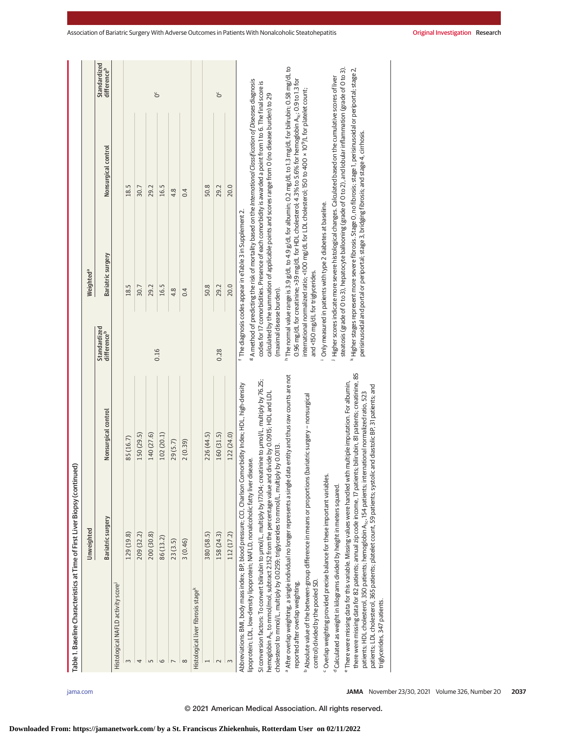| h The normal value range is 3.9 g/dL to 4.9 g/dL for albumin; 0.2 mg/dL to 1.3 mg/dL for bilirubin; 0.58 mg/dL to<br>k Higher stages represent more severe fibrosis. Stage O, no fibrosis; stage 1, perisinusoidal or periportal; stage 2,<br>steatosis (grade of 0 to 3), hepatocyte ballooning (grade of 0 to 2), and lobular inflammation (grade of 0 to 3).<br>Higher scores indicate more severe histological changes. Calculated based on the cumulative scores of liver<br>0.96 mg/dL for creatinine; >39 mg/dL for HDL cholesterol; 4.3% to 5.6% for hemoglobin A <sub>ic</sub> ; 0.9 to 1.3 for<br><sup>g</sup> A method of predicting the risk of mortality based on the International Classification of Diseases diagnosis<br>codes for 17 comorbidities. Presence of each comorbidity is awarded a point from 1 to 6. The final score is<br>international normalized ratio; <100 mg/dL for LDL cholesterol; 150 to 400 x 10 <sup>9</sup> /L for platelet count;<br>calculated by the summation of applicable points and scores range from O (no disease burden) to 29<br>perisinusoidal and portal or periportal; stage 3, bridging fibrosis; and stage 4, cirrhosis.<br>Nonsurgical control<br>18.5<br>50.8<br>20.0<br>30.7<br>16.5<br>29.2<br>29.2<br>0.4<br>4.8<br>Only measured in patients with type 2 diabetes at baseline.<br><sup>f</sup> The diagnosis codes appear in eTable 3 in Supplement 2.<br>Bariatric surgery<br>Weighted <sup>a</sup><br>and <150 mg/dL for triglycerides.<br>20.0<br>18.5<br>50.8<br>30.7<br>29.2<br>16.5<br>29.2<br>4.8<br>0.4<br>(maximal disease burden).<br>Standardized<br>differenceb<br>0.16<br>0.28<br>there were missing data for 82 patients; annual zip code income, 17 patients; bilirubin, 81 patients; creatinine, 85<br><sup>a</sup> After overlap weighting, a single individual no longer represents a single data entity and thus raw counts are not<br>SI conversion factors: To convert bilirubin to µmol/L, multiply by 17.104; creatinine to µmol/L, multiply by 76.25;<br>"There were missing data for this variable. Missing values were handled with multiple imputation. For albumin,<br>Abbreviations: BMI, body mass index; BP, blood pressure; CCI, Charlson Comorbidity Index; HDL, high-density<br>patients; LDL cholesterol, 365 patients; platelet count, 59 patients; systolic and diastolic BP, 31 patients; and<br>hemoglobin A <sub>nc</sub> to mmol/mol, subtract 2.152 from the percentage value and divide by 0.0915; HDL and LDL<br>patients; HDL cholesterol, 350 patients; hemoglobin A <sub>nc</sub> , 154 patients; international normalized ratio, 523<br><sup>b</sup> Absolute value of the between-group difference in means or proportions (bariatric surgery – nonsurgical<br>Nonsurgical control<br>160 (31.5)<br>140 (27.6)<br>226 (44.5)<br>122 (24.0)<br>150 (29.5)<br>102 (20.1)<br>85 (16.7)<br>29(5.7)<br>2(0.39)<br>cholesterol to mmol/L, multiply by 0.0259; triglycerides to mmol/L, multiply by 0.0113.<br>lipoprotein; LDL, low-density lipoprotein; NAFLD, nonalcoholic fatty liver disease.<br><sup>c</sup> Overlap weighting provided precise balance for these important variables.<br><sup>d</sup> Calculated as weight in kilograms divided by height in meters squared.<br><b>Bariatric surgery</b><br>Unweighted<br>129 (19.8)<br>209 (32.2)<br>200 (30.8)<br>380 (58.5)<br>158 (24.3)<br>112 (17.2)<br>86(13.2)<br>23(3.5)<br>3(0.46)<br>control) divided by the pooled SD.<br>reported after overlap weighting.<br>Histological NAFLD activity score<br>Histological liver fibrosis stage <sup>k</sup><br>3<br>4<br>5<br>6<br>$\infty$<br>$\sim$<br>$\sim$ |                              | Table 1. Baseline Characteristics at Time of First Liver Biopsy (continued) |  |                             |  |
|------------------------------------------------------------------------------------------------------------------------------------------------------------------------------------------------------------------------------------------------------------------------------------------------------------------------------------------------------------------------------------------------------------------------------------------------------------------------------------------------------------------------------------------------------------------------------------------------------------------------------------------------------------------------------------------------------------------------------------------------------------------------------------------------------------------------------------------------------------------------------------------------------------------------------------------------------------------------------------------------------------------------------------------------------------------------------------------------------------------------------------------------------------------------------------------------------------------------------------------------------------------------------------------------------------------------------------------------------------------------------------------------------------------------------------------------------------------------------------------------------------------------------------------------------------------------------------------------------------------------------------------------------------------------------------------------------------------------------------------------------------------------------------------------------------------------------------------------------------------------------------------------------------------------------------------------------------------------------------------------------------------------------------------------------------------------------------------------------------------------------------------------------------------------------------------------------------------------------------------------------------------------------------------------------------------------------------------------------------------------------------------------------------------------------------------------------------------------------------------------------------------------------------------------------------------------------------------------------------------------------------------------------------------------------------------------------------------------------------------------------------------------------------------------------------------------------------------------------------------------------------------------------------------------------------------------------------------------------------------------------------------------------------------------------------------------------------------------------------------------------------------------------------------------------------------------------------------------------------------------------------------------------------------------------------------------------------------------------------------------------------------------------------------------------------------------------------------------------------------------------------------------------------------------------------------------------------------------------------------------------------------------------------------------------------|------------------------------|-----------------------------------------------------------------------------|--|-----------------------------|--|
|                                                                                                                                                                                                                                                                                                                                                                                                                                                                                                                                                                                                                                                                                                                                                                                                                                                                                                                                                                                                                                                                                                                                                                                                                                                                                                                                                                                                                                                                                                                                                                                                                                                                                                                                                                                                                                                                                                                                                                                                                                                                                                                                                                                                                                                                                                                                                                                                                                                                                                                                                                                                                                                                                                                                                                                                                                                                                                                                                                                                                                                                                                                                                                                                                                                                                                                                                                                                                                                                                                                                                                                                                                                                                    |                              |                                                                             |  |                             |  |
|                                                                                                                                                                                                                                                                                                                                                                                                                                                                                                                                                                                                                                                                                                                                                                                                                                                                                                                                                                                                                                                                                                                                                                                                                                                                                                                                                                                                                                                                                                                                                                                                                                                                                                                                                                                                                                                                                                                                                                                                                                                                                                                                                                                                                                                                                                                                                                                                                                                                                                                                                                                                                                                                                                                                                                                                                                                                                                                                                                                                                                                                                                                                                                                                                                                                                                                                                                                                                                                                                                                                                                                                                                                                                    |                              |                                                                             |  | Standardized<br>differenceb |  |
|                                                                                                                                                                                                                                                                                                                                                                                                                                                                                                                                                                                                                                                                                                                                                                                                                                                                                                                                                                                                                                                                                                                                                                                                                                                                                                                                                                                                                                                                                                                                                                                                                                                                                                                                                                                                                                                                                                                                                                                                                                                                                                                                                                                                                                                                                                                                                                                                                                                                                                                                                                                                                                                                                                                                                                                                                                                                                                                                                                                                                                                                                                                                                                                                                                                                                                                                                                                                                                                                                                                                                                                                                                                                                    |                              |                                                                             |  |                             |  |
|                                                                                                                                                                                                                                                                                                                                                                                                                                                                                                                                                                                                                                                                                                                                                                                                                                                                                                                                                                                                                                                                                                                                                                                                                                                                                                                                                                                                                                                                                                                                                                                                                                                                                                                                                                                                                                                                                                                                                                                                                                                                                                                                                                                                                                                                                                                                                                                                                                                                                                                                                                                                                                                                                                                                                                                                                                                                                                                                                                                                                                                                                                                                                                                                                                                                                                                                                                                                                                                                                                                                                                                                                                                                                    |                              |                                                                             |  |                             |  |
|                                                                                                                                                                                                                                                                                                                                                                                                                                                                                                                                                                                                                                                                                                                                                                                                                                                                                                                                                                                                                                                                                                                                                                                                                                                                                                                                                                                                                                                                                                                                                                                                                                                                                                                                                                                                                                                                                                                                                                                                                                                                                                                                                                                                                                                                                                                                                                                                                                                                                                                                                                                                                                                                                                                                                                                                                                                                                                                                                                                                                                                                                                                                                                                                                                                                                                                                                                                                                                                                                                                                                                                                                                                                                    |                              |                                                                             |  |                             |  |
|                                                                                                                                                                                                                                                                                                                                                                                                                                                                                                                                                                                                                                                                                                                                                                                                                                                                                                                                                                                                                                                                                                                                                                                                                                                                                                                                                                                                                                                                                                                                                                                                                                                                                                                                                                                                                                                                                                                                                                                                                                                                                                                                                                                                                                                                                                                                                                                                                                                                                                                                                                                                                                                                                                                                                                                                                                                                                                                                                                                                                                                                                                                                                                                                                                                                                                                                                                                                                                                                                                                                                                                                                                                                                    |                              |                                                                             |  |                             |  |
|                                                                                                                                                                                                                                                                                                                                                                                                                                                                                                                                                                                                                                                                                                                                                                                                                                                                                                                                                                                                                                                                                                                                                                                                                                                                                                                                                                                                                                                                                                                                                                                                                                                                                                                                                                                                                                                                                                                                                                                                                                                                                                                                                                                                                                                                                                                                                                                                                                                                                                                                                                                                                                                                                                                                                                                                                                                                                                                                                                                                                                                                                                                                                                                                                                                                                                                                                                                                                                                                                                                                                                                                                                                                                    |                              |                                                                             |  | ŏ                           |  |
|                                                                                                                                                                                                                                                                                                                                                                                                                                                                                                                                                                                                                                                                                                                                                                                                                                                                                                                                                                                                                                                                                                                                                                                                                                                                                                                                                                                                                                                                                                                                                                                                                                                                                                                                                                                                                                                                                                                                                                                                                                                                                                                                                                                                                                                                                                                                                                                                                                                                                                                                                                                                                                                                                                                                                                                                                                                                                                                                                                                                                                                                                                                                                                                                                                                                                                                                                                                                                                                                                                                                                                                                                                                                                    |                              |                                                                             |  |                             |  |
|                                                                                                                                                                                                                                                                                                                                                                                                                                                                                                                                                                                                                                                                                                                                                                                                                                                                                                                                                                                                                                                                                                                                                                                                                                                                                                                                                                                                                                                                                                                                                                                                                                                                                                                                                                                                                                                                                                                                                                                                                                                                                                                                                                                                                                                                                                                                                                                                                                                                                                                                                                                                                                                                                                                                                                                                                                                                                                                                                                                                                                                                                                                                                                                                                                                                                                                                                                                                                                                                                                                                                                                                                                                                                    |                              |                                                                             |  |                             |  |
|                                                                                                                                                                                                                                                                                                                                                                                                                                                                                                                                                                                                                                                                                                                                                                                                                                                                                                                                                                                                                                                                                                                                                                                                                                                                                                                                                                                                                                                                                                                                                                                                                                                                                                                                                                                                                                                                                                                                                                                                                                                                                                                                                                                                                                                                                                                                                                                                                                                                                                                                                                                                                                                                                                                                                                                                                                                                                                                                                                                                                                                                                                                                                                                                                                                                                                                                                                                                                                                                                                                                                                                                                                                                                    |                              |                                                                             |  |                             |  |
|                                                                                                                                                                                                                                                                                                                                                                                                                                                                                                                                                                                                                                                                                                                                                                                                                                                                                                                                                                                                                                                                                                                                                                                                                                                                                                                                                                                                                                                                                                                                                                                                                                                                                                                                                                                                                                                                                                                                                                                                                                                                                                                                                                                                                                                                                                                                                                                                                                                                                                                                                                                                                                                                                                                                                                                                                                                                                                                                                                                                                                                                                                                                                                                                                                                                                                                                                                                                                                                                                                                                                                                                                                                                                    |                              |                                                                             |  |                             |  |
|                                                                                                                                                                                                                                                                                                                                                                                                                                                                                                                                                                                                                                                                                                                                                                                                                                                                                                                                                                                                                                                                                                                                                                                                                                                                                                                                                                                                                                                                                                                                                                                                                                                                                                                                                                                                                                                                                                                                                                                                                                                                                                                                                                                                                                                                                                                                                                                                                                                                                                                                                                                                                                                                                                                                                                                                                                                                                                                                                                                                                                                                                                                                                                                                                                                                                                                                                                                                                                                                                                                                                                                                                                                                                    |                              |                                                                             |  | ŏ                           |  |
|                                                                                                                                                                                                                                                                                                                                                                                                                                                                                                                                                                                                                                                                                                                                                                                                                                                                                                                                                                                                                                                                                                                                                                                                                                                                                                                                                                                                                                                                                                                                                                                                                                                                                                                                                                                                                                                                                                                                                                                                                                                                                                                                                                                                                                                                                                                                                                                                                                                                                                                                                                                                                                                                                                                                                                                                                                                                                                                                                                                                                                                                                                                                                                                                                                                                                                                                                                                                                                                                                                                                                                                                                                                                                    |                              |                                                                             |  |                             |  |
|                                                                                                                                                                                                                                                                                                                                                                                                                                                                                                                                                                                                                                                                                                                                                                                                                                                                                                                                                                                                                                                                                                                                                                                                                                                                                                                                                                                                                                                                                                                                                                                                                                                                                                                                                                                                                                                                                                                                                                                                                                                                                                                                                                                                                                                                                                                                                                                                                                                                                                                                                                                                                                                                                                                                                                                                                                                                                                                                                                                                                                                                                                                                                                                                                                                                                                                                                                                                                                                                                                                                                                                                                                                                                    | triglycerides, 347 patients. |                                                                             |  |                             |  |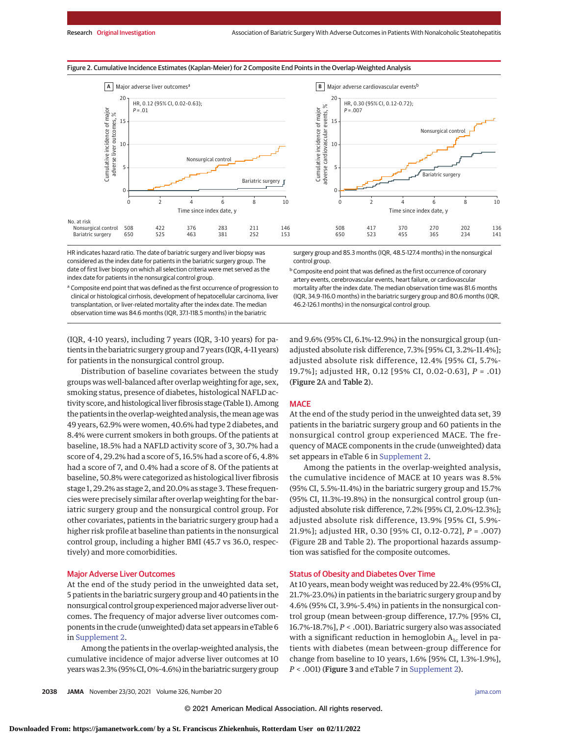



HR indicates hazard ratio. The date of bariatric surgery and liver biopsy was considered as the index date for patients in the bariatric surgery group. The date of first liver biopsy on which all selection criteria were met served as the index date for patients in the nonsurgical control group.

<sup>a</sup> Composite end point that was defined as the first occurrence of progression to clinical or histological cirrhosis, development of hepatocellular carcinoma, liver transplantation, or liver-related mortality after the index date. The median observation time was 84.6 months (IQR, 37.1-118.5 months) in the bariatric

surgery group and 85.3 months (IQR, 48.5-127.4 months) in the nonsurgical control group.

**b** Composite end point that was defined as the first occurrence of coronary artery events, cerebrovascular events, heart failure, or cardiovascular mortality after the index date. The median observation time was 81.6 months (IQR, 34.9-116.0 months) in the bariatric surgery group and 80.6 months (IQR, 46.2-126.1 months) in the nonsurgical control group.

(IQR, 4-10 years), including 7 years (IQR, 3-10 years) for patients in the bariatric surgery group and 7 years (IQR, 4-11 years) for patients in the nonsurgical control group.

Distribution of baseline covariates between the study groups was well-balanced after overlap weighting for age, sex, smoking status, presence of diabetes, histological NAFLD activity score, and histological liver fibrosis stage (Table 1). Among the patients in the overlap-weighted analysis, themean agewas 49 years, 62.9% were women, 40.6% had type 2 diabetes, and 8.4% were current smokers in both groups. Of the patients at baseline, 18.5% had a NAFLD activity score of 3, 30.7% had a score of 4, 29.2% had a score of 5, 16.5% had a score of 6, 4.8% had a score of 7, and 0.4% had a score of 8. Of the patients at baseline, 50.8% were categorized as histological liver fibrosis stage 1, 29.2% as stage 2, and 20.0% as stage 3. These frequencies were precisely similar after overlap weighting for the bariatric surgery group and the nonsurgical control group. For other covariates, patients in the bariatric surgery group had a higher risk profile at baseline than patients in the nonsurgical control group, including a higher BMI (45.7 vs 36.0, respectively) and more comorbidities.

# Major Adverse Liver Outcomes

At the end of the study period in the unweighted data set, 5 patients in the bariatric surgery group and 40 patients in the nonsurgical control group experiencedmajor adverse liver outcomes. The frequency of major adverse liver outcomes components in the crude (unweighted) data set appears in eTable 6 in [Supplement 2.](https://jamanetwork.com/journals/jama/fullarticle/10.1001/jama.2021.19569?utm_campaign=articlePDF%26utm_medium=articlePDFlink%26utm_source=articlePDF%26utm_content=jama.2021.19569)

Among the patients in the overlap-weighted analysis, the cumulative incidence of major adverse liver outcomes at 10 years was 2.3% (95% CI, 0%-4.6%) in the bariatric surgery group and 9.6% (95% CI, 6.1%-12.9%) in the nonsurgical group (unadjusted absolute risk difference, 7.3% [95% CI, 3.2%-11.4%]; adjusted absolute risk difference, 12.4% [95% CI, 5.7%- 19.7%]; adjusted HR, 0.12 [95% CI, 0.02-0.63], *P* = .01) (Figure 2A and Table 2).

# **MACE**

At the end of the study period in the unweighted data set, 39 patients in the bariatric surgery group and 60 patients in the nonsurgical control group experienced MACE. The frequency of MACE components in the crude (unweighted) data set appears in eTable 6 in [Supplement 2.](https://jamanetwork.com/journals/jama/fullarticle/10.1001/jama.2021.19569?utm_campaign=articlePDF%26utm_medium=articlePDFlink%26utm_source=articlePDF%26utm_content=jama.2021.19569)

Among the patients in the overlap-weighted analysis, the cumulative incidence of MACE at 10 years was 8.5% (95% CI, 5.5%-11.4%) in the bariatric surgery group and 15.7% (95% CI, 11.3%-19.8%) in the nonsurgical control group (unadjusted absolute risk difference, 7.2% [95% CI, 2.0%-12.3%]; adjusted absolute risk difference, 13.9% [95% CI, 5.9%- 21.9%]; adjusted HR, 0.30 [95% CI, 0.12-0.72], *P* = .007) (Figure 2B and Table 2). The proportional hazards assumption was satisfied for the composite outcomes.

# Status of Obesity and Diabetes Over Time

At 10 years, mean body weight was reduced by 22.4% (95% CI, 21.7%-23.0%) in patients in the bariatric surgery group and by 4.6% (95% CI, 3.9%-5.4%) in patients in the nonsurgical control group (mean between-group difference, 17.7% [95% CI, 16.7%-18.7%], *P* < .001). Bariatric surgery also was associated with a significant reduction in hemoglobin  $A_{1c}$  level in patients with diabetes (mean between-group difference for change from baseline to 10 years, 1.6% [95% CI, 1.3%-1.9%], *P* < .001) (Figure 3 and eTable 7 in [Supplement 2\)](https://jamanetwork.com/journals/jama/fullarticle/10.1001/jama.2021.19569?utm_campaign=articlePDF%26utm_medium=articlePDFlink%26utm_source=articlePDF%26utm_content=jama.2021.19569).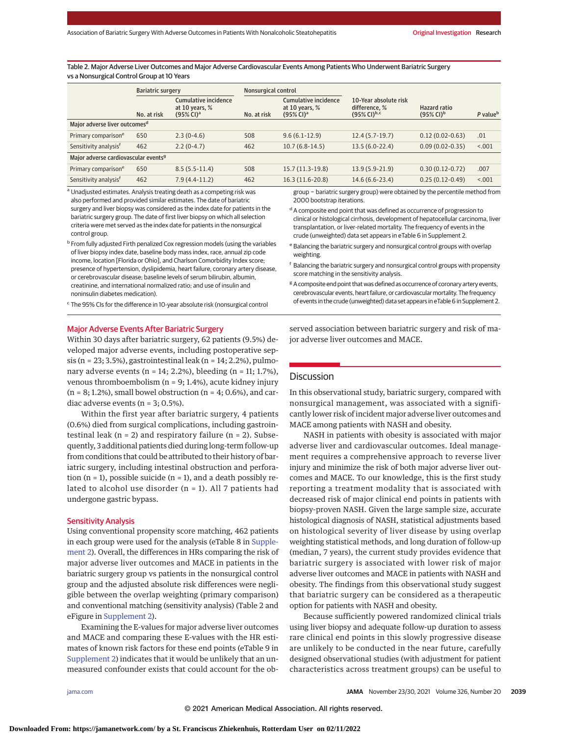Table 2. Major Adverse Liver Outcomes and Major Adverse Cardiovascular Events Among Patients Who Underwent Bariatric Surgery vs a Nonsurgical Control Group at 10 Years

|                                                  | <b>Bariatric surgery</b> |                                                                             | Nonsurgical control |                                                                             |                                                                      |                                                       |                      |  |  |
|--------------------------------------------------|--------------------------|-----------------------------------------------------------------------------|---------------------|-----------------------------------------------------------------------------|----------------------------------------------------------------------|-------------------------------------------------------|----------------------|--|--|
|                                                  | No. at risk              | <b>Cumulative incidence</b><br>at 10 years, $%$<br>$(95\%$ CI) <sup>a</sup> | No. at risk         | <b>Cumulative incidence</b><br>at 10 years, $%$<br>$(95\%$ CI) <sup>a</sup> | 10-Year absolute risk<br>difference, %<br>$(95\%$ CI) <sup>b,c</sup> | <b>Hazard ratio</b><br>$(95\% \text{ Cl})^{\text{b}}$ | P value <sup>b</sup> |  |  |
| Major adverse liver outcomes <sup>d</sup>        |                          |                                                                             |                     |                                                                             |                                                                      |                                                       |                      |  |  |
| Primary comparison <sup>e</sup>                  | 650                      | $2.3(0-4.6)$                                                                | 508                 | $9.6(6.1-12.9)$                                                             | $12.4(5.7-19.7)$                                                     | $0.12(0.02 - 0.63)$                                   | .01                  |  |  |
| Sensitivity analysis <sup>f</sup>                | 462                      | $2.2(0-4.7)$                                                                | 462                 | $10.7(6.8-14.5)$                                                            | $13.5(6.0-22.4)$                                                     | $0.09(0.02 - 0.35)$                                   | < 0.001              |  |  |
| Major adverse cardiovascular events <sup>9</sup> |                          |                                                                             |                     |                                                                             |                                                                      |                                                       |                      |  |  |
| Primary comparison <sup>e</sup>                  | 650                      | $8.5(5.5-11.4)$                                                             | 508                 | 15.7 (11.3-19.8)                                                            | 13.9 (5.9-21.9)                                                      | $0.30(0.12-0.72)$                                     | .007                 |  |  |
| Sensitivity analysis <sup>f</sup>                | 462                      | $7.9(4.4-11.2)$                                                             | 462                 | 16.3 (11.6-20.8)                                                            | $14.6(6.6-23.4)$                                                     | $0.25(0.12-0.49)$                                     | < 0.001              |  |  |

a Unadjusted estimates. Analysis treating death as a competing risk was also performed and provided similar estimates. The date of bariatric surgery and liver biopsy was considered as the index date for patients in the bariatric surgery group. The date of first liver biopsy on which all selection criteria were met served as the index date for patients in the nonsurgical control group.

<sup>b</sup> From fully adjusted Firth penalized Cox regression models (using the variables of liver biopsy index date, baseline body mass index, race, annual zip code income, location [Florida or Ohio], and Charlson Comorbidity Index score; presence of hypertension, dyslipidemia, heart failure, coronary artery disease, or cerebrovascular disease; baseline levels of serum bilirubin, albumin, creatinine, and international normalized ratio; and use of insulin and noninsulin diabetes medication).

<sup>c</sup> The 95% CIs for the difference in 10-year absolute risk (nonsurgical control

# Major Adverse Events After Bariatric Surgery

Within 30 days after bariatric surgery, 62 patients (9.5%) developed major adverse events, including postoperative sepsis (n = 23; 3.5%), gastrointestinal leak (n = 14; 2.2%), pulmonary adverse events (n = 14; 2.2%), bleeding (n = 11; 1.7%), venous thromboembolism (n = 9; 1.4%), acute kidney injury  $(n = 8; 1.2\%)$ , small bowel obstruction  $(n = 4; 0.6\%)$ , and cardiac adverse events (n = 3; 0.5%).

Within the first year after bariatric surgery, 4 patients (0.6%) died from surgical complications, including gastrointestinal leak ( $n = 2$ ) and respiratory failure ( $n = 2$ ). Subsequently, 3 additional patients died during long-term follow-up from conditions that could be attributed to their history of bariatric surgery, including intestinal obstruction and perforation  $(n = 1)$ , possible suicide  $(n = 1)$ , and a death possibly related to alcohol use disorder (n = 1). All 7 patients had undergone gastric bypass.

# Sensitivity Analysis

Using conventional propensity score matching, 462 patients in each group were used for the analysis (eTable 8 in [Supple](https://jamanetwork.com/journals/jama/fullarticle/10.1001/jama.2021.19569?utm_campaign=articlePDF%26utm_medium=articlePDFlink%26utm_source=articlePDF%26utm_content=jama.2021.19569)[ment 2\)](https://jamanetwork.com/journals/jama/fullarticle/10.1001/jama.2021.19569?utm_campaign=articlePDF%26utm_medium=articlePDFlink%26utm_source=articlePDF%26utm_content=jama.2021.19569). Overall, the differences in HRs comparing the risk of major adverse liver outcomes and MACE in patients in the bariatric surgery group vs patients in the nonsurgical control group and the adjusted absolute risk differences were negligible between the overlap weighting (primary comparison) and conventional matching (sensitivity analysis) (Table 2 and eFigure in [Supplement 2\)](https://jamanetwork.com/journals/jama/fullarticle/10.1001/jama.2021.19569?utm_campaign=articlePDF%26utm_medium=articlePDFlink%26utm_source=articlePDF%26utm_content=jama.2021.19569).

Examining the E-values for major adverse liver outcomes and MACE and comparing these E-values with the HR estimates of known risk factors for these end points (eTable 9 in [Supplement 2\)](https://jamanetwork.com/journals/jama/fullarticle/10.1001/jama.2021.19569?utm_campaign=articlePDF%26utm_medium=articlePDFlink%26utm_source=articlePDF%26utm_content=jama.2021.19569) indicates that it would be unlikely that an unmeasured confounder exists that could account for the obgroup − bariatric surgery group) were obtained by the percentile method from 2000 bootstrap iterations.

<sup>d</sup> A composite end point that was defined as occurrence of progression to clinical or histological cirrhosis, development of hepatocellular carcinoma, liver transplantation, or liver-related mortality. The frequency of events in the crude (unweighted) data set appears in eTable 6 in Supplement 2.

- <sup>e</sup> Balancing the bariatric surgery and nonsurgical control groups with overlap weighting.
- <sup>f</sup> Balancing the bariatric surgery and nonsurgical control groups with propensity score matching in the sensitivity analysis.
- <sup>g</sup> A composite end point that was defined as occurrence of coronary artery events, cerebrovascular events, heart failure, or cardiovascular mortality. The frequency of events in the crude (unweighted) data set appears in eTable 6 in Supplement 2.

served association between bariatric surgery and risk of major adverse liver outcomes and MACE.

# **Discussion**

In this observational study, bariatric surgery, compared with nonsurgical management, was associated with a significantly lower risk of incident major adverse liver outcomes and MACE among patients with NASH and obesity.

NASH in patients with obesity is associated with major adverse liver and cardiovascular outcomes. Ideal management requires a comprehensive approach to reverse liver injury and minimize the risk of both major adverse liver outcomes and MACE. To our knowledge, this is the first study reporting a treatment modality that is associated with decreased risk of major clinical end points in patients with biopsy-proven NASH. Given the large sample size, accurate histological diagnosis of NASH, statistical adjustments based on histological severity of liver disease by using overlap weighting statistical methods, and long duration of follow-up (median, 7 years), the current study provides evidence that bariatric surgery is associated with lower risk of major adverse liver outcomes and MACE in patients with NASH and obesity. The findings from this observational study suggest that bariatric surgery can be considered as a therapeutic option for patients with NASH and obesity.

Because sufficiently powered randomized clinical trials using liver biopsy and adequate follow-up duration to assess rare clinical end points in this slowly progressive disease are unlikely to be conducted in the near future, carefully designed observational studies (with adjustment for patient characteristics across treatment groups) can be useful to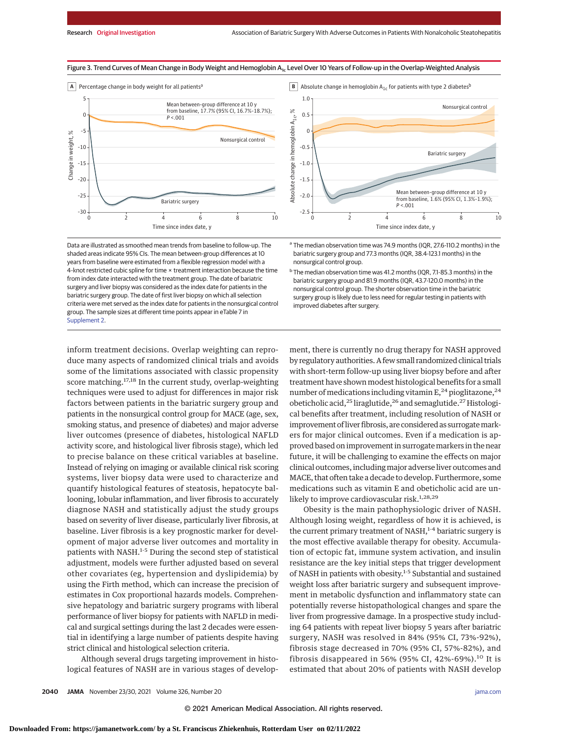

Figure 3. Trend Curves of Mean Change in Body Weight and Hemoglobin A<sub>1c</sub> Level Over 10 Years of Follow-up in the Overlap-Weighted Analysis

**B** Absolute change in hemoglobin  $A_{1c}$  for patients with type 2 diabetes<sup>b</sup>



Data are illustrated as smoothed mean trends from baseline to follow-up. The shaded areas indicate 95% CIs. The mean between-group differences at 10 years from baseline were estimated from a flexible regression model with a 4-knot restricted cubic spline for time × treatment interaction because the time from index date interacted with the treatment group. The date of bariatric surgery and liver biopsy was considered as the index date for patients in the bariatric surgery group. The date of first liver biopsy on which all selection criteria were met served as the index date for patients in the nonsurgical control group. The sample sizes at different time points appear in eTable 7 in [Supplement 2.](https://jamanetwork.com/journals/jama/fullarticle/10.1001/jama.2021.19569?utm_campaign=articlePDF%26utm_medium=articlePDFlink%26utm_source=articlePDF%26utm_content=jama.2021.19569)

<sup>a</sup> The median observation time was 74.9 months (IQR, 27.6-110.2 months) in the bariatric surgery group and 77.3 months (IQR, 38.4-123.1 months) in the nonsurgical control group.

<sup>b</sup> The median observation time was 41.2 months (IQR, 7.1-85.3 months) in the bariatric surgery group and 81.9 months (IQR, 43.7-120.0 months) in the nonsurgical control group. The shorter observation time in the bariatric surgery group is likely due to less need for regular testing in patients with improved diabetes after surgery.

inform treatment decisions. Overlap weighting can reproduce many aspects of randomized clinical trials and avoids some of the limitations associated with classic propensity score matching.<sup>17,18</sup> In the current study, overlap-weighting techniques were used to adjust for differences in major risk factors between patients in the bariatric surgery group and patients in the nonsurgical control group for MACE (age, sex, smoking status, and presence of diabetes) and major adverse liver outcomes (presence of diabetes, histological NAFLD activity score, and histological liver fibrosis stage), which led to precise balance on these critical variables at baseline. Instead of relying on imaging or available clinical risk scoring systems, liver biopsy data were used to characterize and quantify histological features of steatosis, hepatocyte ballooning, lobular inflammation, and liver fibrosis to accurately diagnose NASH and statistically adjust the study groups based on severity of liver disease, particularly liver fibrosis, at baseline. Liver fibrosis is a key prognostic marker for development of major adverse liver outcomes and mortality in patients with NASH.<sup>1-5</sup> During the second step of statistical adjustment, models were further adjusted based on several other covariates (eg, hypertension and dyslipidemia) by using the Firth method, which can increase the precision of estimates in Cox proportional hazards models. Comprehensive hepatology and bariatric surgery programs with liberal performance of liver biopsy for patients with NAFLD in medical and surgical settings during the last 2 decades were essential in identifying a large number of patients despite having strict clinical and histological selection criteria.

Although several drugs targeting improvement in histological features of NASH are in various stages of development, there is currently no drug therapy for NASH approved by regulatory authorities. A few small randomized clinical trials with short-term follow-up using liver biopsy before and after treatment have shown modest histological benefits for a small number of medications including vitamin  $E<sub>1</sub><sup>24</sup>$  pioglitazone,<sup>24</sup> obeticholic acid,<sup>25</sup> liraglutide,<sup>26</sup> and semaglutide.<sup>27</sup> Histological benefits after treatment, including resolution of NASH or improvement of liver fibrosis, are considered as surrogate markers for major clinical outcomes. Even if a medication is approved based on improvement in surrogate markers in the near future, it will be challenging to examine the effects on major clinical outcomes, includingmajor adverse liver outcomes and MACE, that often take a decade to develop. Furthermore, some medications such as vitamin E and obeticholic acid are unlikely to improve cardiovascular risk.<sup>1,28,29</sup>

Obesity is the main pathophysiologic driver of NASH. Although losing weight, regardless of how it is achieved, is the current primary treatment of NASH, $1-4$  bariatric surgery is the most effective available therapy for obesity. Accumulation of ectopic fat, immune system activation, and insulin resistance are the key initial steps that trigger development of NASH in patients with obesity.<sup>1-5</sup> Substantial and sustained weight loss after bariatric surgery and subsequent improvement in metabolic dysfunction and inflammatory state can potentially reverse histopathological changes and spare the liver from progressive damage. In a prospective study including 64 patients with repeat liver biopsy 5 years after bariatric surgery, NASH was resolved in 84% (95% CI, 73%-92%), fibrosis stage decreased in 70% (95% CI, 57%-82%), and fibrosis disappeared in 56% (95% CI, 42%-69%).<sup>10</sup> It is estimated that about 20% of patients with NASH develop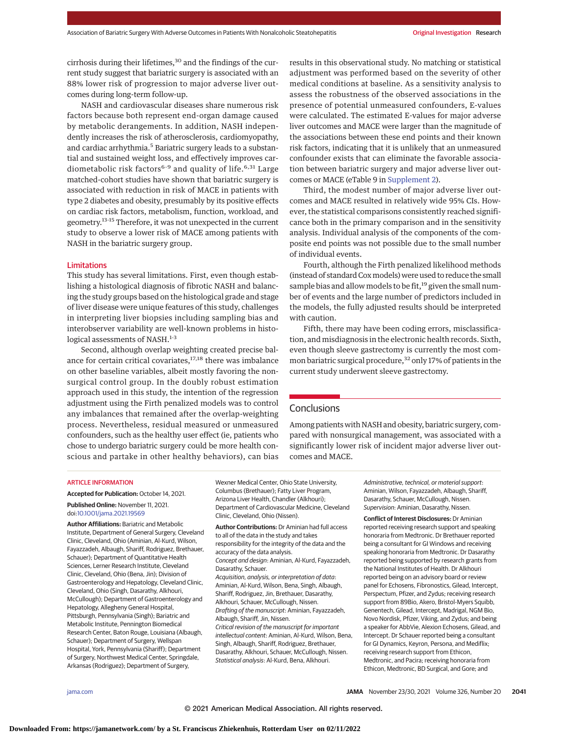cirrhosis during their lifetimes,<sup>30</sup> and the findings of the current study suggest that bariatric surgery is associated with an 88% lower risk of progression to major adverse liver outcomes during long-term follow-up.

NASH and cardiovascular diseases share numerous risk factors because both represent end-organ damage caused by metabolic derangements. In addition, NASH independently increases the risk of atherosclerosis, cardiomyopathy, and cardiac arrhythmia.<sup>5</sup> Bariatric surgery leads to a substantial and sustained weight loss, and effectively improves cardiometabolic risk factors<sup>6-9</sup> and quality of life.<sup>6,31</sup> Large matched-cohort studies have shown that bariatric surgery is associated with reduction in risk of MACE in patients with type 2 diabetes and obesity, presumably by its positive effects on cardiac risk factors, metabolism, function, workload, and geometry.13-15 Therefore, it was not unexpected in the current study to observe a lower risk of MACE among patients with NASH in the bariatric surgery group.

# Limitations

This study has several limitations. First, even though establishing a histological diagnosis of fibrotic NASH and balancing the study groups based on the histological grade and stage of liver disease were unique features of this study, challenges in interpreting liver biopsies including sampling bias and interobserver variability are well-known problems in histological assessments of NASH.<sup>1-3</sup>

Second, although overlap weighting created precise balance for certain critical covariates, $17,18$  there was imbalance on other baseline variables, albeit mostly favoring the nonsurgical control group. In the doubly robust estimation approach used in this study, the intention of the regression adjustment using the Firth penalized models was to control any imbalances that remained after the overlap-weighting process. Nevertheless, residual measured or unmeasured confounders, such as the healthy user effect (ie, patients who chose to undergo bariatric surgery could be more health conscious and partake in other healthy behaviors), can bias results in this observational study. No matching or statistical adjustment was performed based on the severity of other medical conditions at baseline. As a sensitivity analysis to assess the robustness of the observed associations in the presence of potential unmeasured confounders, E-values were calculated. The estimated E-values for major adverse liver outcomes and MACE were larger than the magnitude of the associations between these end points and their known risk factors, indicating that it is unlikely that an unmeasured confounder exists that can eliminate the favorable association between bariatric surgery and major adverse liver outcomes or MACE (eTable 9 in [Supplement 2\)](https://jamanetwork.com/journals/jama/fullarticle/10.1001/jama.2021.19569?utm_campaign=articlePDF%26utm_medium=articlePDFlink%26utm_source=articlePDF%26utm_content=jama.2021.19569).

Third, the modest number of major adverse liver outcomes and MACE resulted in relatively wide 95% CIs. However, the statistical comparisons consistently reached significance both in the primary comparison and in the sensitivity analysis. Individual analysis of the components of the composite end points was not possible due to the small number of individual events.

Fourth, although the Firth penalized likelihood methods (instead of standard Coxmodels) were used to reduce the small sample bias and allow models to be fit,<sup>19</sup> given the small number of events and the large number of predictors included in the models, the fully adjusted results should be interpreted with caution.

Fifth, there may have been coding errors, misclassification, and misdiagnosis in the electronic health records. Sixth, even though sleeve gastrectomy is currently the most common bariatric surgical procedure,<sup>32</sup> only 17% of patients in the current study underwent sleeve gastrectomy.

# **Conclusions**

Among patients with NASH and obesity, bariatric surgery, compared with nonsurgical management, was associated with a significantly lower risk of incident major adverse liver outcomes and MACE.

## ARTICLE INFORMATION

**Accepted for Publication:** October 14, 2021. **Published Online:** November 11, 2021. doi[:10.1001/jama.2021.19569](https://jamanetwork.com/journals/jama/fullarticle/10.1001/jama.2021.19569?utm_campaign=articlePDF%26utm_medium=articlePDFlink%26utm_source=articlePDF%26utm_content=jama.2021.19569)

**Author Affiliations:** Bariatric and Metabolic Institute, Department of General Surgery, Cleveland Clinic, Cleveland, Ohio (Aminian, Al-Kurd, Wilson, Fayazzadeh, Albaugh, Shariff, Rodriguez, Brethauer, Schauer); Department of Quantitative Health Sciences, Lerner Research Institute, Cleveland Clinic, Cleveland, Ohio (Bena, Jin); Division of Gastroenterology and Hepatology, Cleveland Clinic, Cleveland, Ohio (Singh, Dasarathy, Alkhouri, McCullough); Department of Gastroenterology and Hepatology, Allegheny General Hospital, Pittsburgh, Pennsylvania (Singh); Bariatric and Metabolic Institute, Pennington Biomedical Research Center, Baton Rouge, Louisiana (Albaugh, Schauer); Department of Surgery, Wellspan Hospital, York, Pennsylvania (Shariff); Department of Surgery, Northwest Medical Center, Springdale, Arkansas (Rodriguez); Department of Surgery,

Wexner Medical Center, Ohio State University, Columbus (Brethauer); Fatty Liver Program, Arizona Liver Health, Chandler (Alkhouri); Department of Cardiovascular Medicine, Cleveland Clinic, Cleveland, Ohio (Nissen).

**Author Contributions:** Dr Aminian had full access to all of the data in the study and takes responsibility for the integrity of the data and the accuracy of the data analysis. Concept and design: Aminian, Al-Kurd, Fayazzadeh, Dasarathy, Schauer. Acquisition, analysis, or interpretation of data: Aminian, Al-Kurd, Wilson, Bena, Singh, Albaugh, Shariff, Rodriguez, Jin, Brethauer, Dasarathy, Alkhouri, Schauer, McCullough, Nissen. Drafting of the manuscript: Aminian, Fayazzadeh, Albaugh, Shariff, Jin, Nissen. Critical revision of the manuscript for important intellectual content: Aminian, Al-Kurd, Wilson, Bena, Singh, Albaugh, Shariff, Rodriguez, Brethauer, Dasarathy, Alkhouri, Schauer, McCullough, Nissen. Statistical analysis: Al-Kurd, Bena, Alkhouri.

Administrative, technical, or material support: Aminian, Wilson, Fayazzadeh, Albaugh, Shariff, Dasarathy, Schauer, McCullough, Nissen. Supervision: Aminian, Dasarathy, Nissen.

**Conflict of Interest Disclosures:** Dr Aminian reported receiving research support and speaking honoraria from Medtronic. Dr Brethauer reported being a consultant for GI Windows and receiving speaking honoraria from Medtronic. Dr Dasarathy reported being supported by research grants from the National Institutes of Health. Dr Alkhouri reported being on an advisory board or review panel for Echosens, Fibronostics, Gilead, Intercept, Perspectum, Pfizer, and Zydus; receiving research support from 89Bio, Akero, Bristol-Myers Squibb, Genentech, Gilead, Intercept, Madrigal, NGM Bio, Novo Nordisk, Pfizer, Viking, and Zydus; and being a speaker for AbbVie, Alexion Echosens, Gilead, and Intercept. Dr Schauer reported being a consultant for GI Dynamics, Keyron, Persona, and Mediflix; receiving research support from Ethicon, Medtronic, and Pacira; receiving honoraria from Ethicon, Medtronic, BD Surgical, and Gore; and